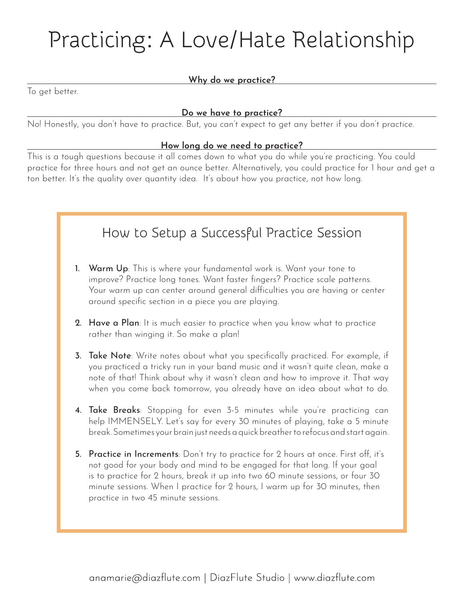# Practicing: A Love/Hate Relationship

#### **Why do we practice?**

To get better.

#### **Do we have to practice?**

No! Honestly, you don't have to practice. But, you can't expect to get any better if you don't practice.

#### **How long do we need to practice?**

This is a tough questions because it all comes down to what you do while you're practicing. You could practice for three hours and not get an ounce better. Alternatively, you could practice for 1 hour and get a ton better. It's the quality over quantity idea. It's about how you practice, not how long.

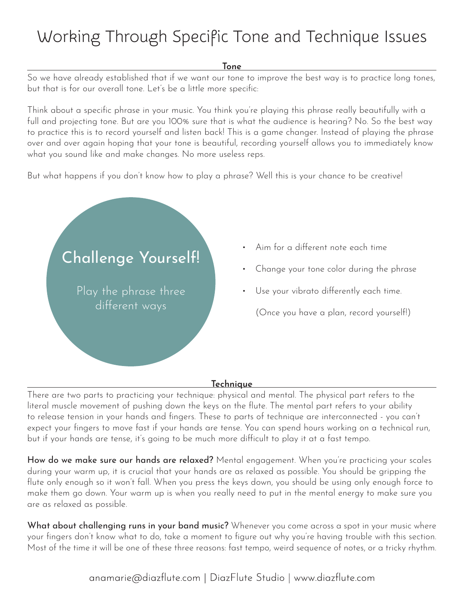## Working Through Specific Tone and Technique Issues

#### **Tone**

So we have already established that if we want our tone to improve the best way is to practice long tones, but that is for our overall tone. Let's be a little more specific:

Think about a specific phrase in your music. You think you're playing this phrase really beautifully with a full and projecting tone. But are you 100% sure that is what the audience is hearing? No. So the best way to practice this is to record yourself and listen back! This is a game changer. Instead of playing the phrase over and over again hoping that your tone is beautiful, recording yourself allows you to immediately know what you sound like and make changes. No more useless reps.

But what happens if you don't know how to play a phrase? Well this is your chance to be creative!



- Aim for a different note each time
- Change your tone color during the phrase
- Use your vibrato differently each time.

(Once you have a plan, record yourself!)

#### **Technique**

There are two parts to practicing your technique: physical and mental. The physical part refers to the literal muscle movement of pushing down the keys on the flute. The mental part refers to your ability to release tension in your hands and fingers. These to parts of technique are interconnected - you can't expect your fingers to move fast if your hands are tense. You can spend hours working on a technical run, but if your hands are tense, it's going to be much more difficult to play it at a fast tempo.

How do we make sure our hands are relaxed? Mental engagement. When you're practicing your scales during your warm up, it is crucial that your hands are as relaxed as possible. You should be gripping the flute only enough so it won't fall. When you press the keys down, you should be using only enough force to make them go down. Your warm up is when you really need to put in the mental energy to make sure you are as relaxed as possible.

What about challenging runs in your band music? Whenever you come across a spot in your music where your fingers don't know what to do, take a moment to figure out why you're having trouble with this section. Most of the time it will be one of these three reasons: fast tempo, weird sequence of notes, or a tricky rhythm.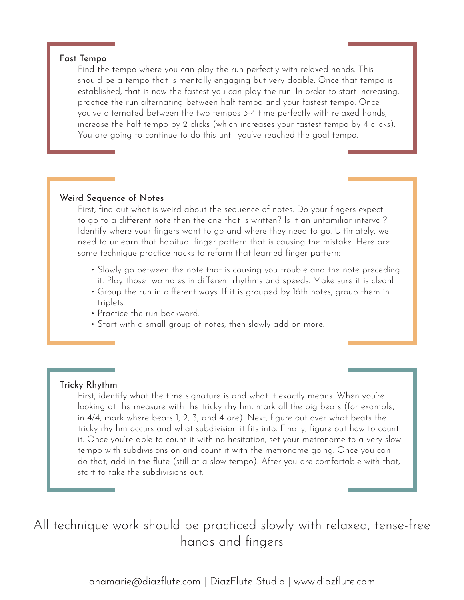#### Fast Tempo

Find the tempo where you can play the run perfectly with relaxed hands. This should be a tempo that is mentally engaging but very doable. Once that tempo is established, that is now the fastest you can play the run. In order to start increasing, practice the run alternating between half tempo and your fastest tempo. Once you've alternated between the two tempos 3-4 time perfectly with relaxed hands, increase the half tempo by 2 clicks (which increases your fastest tempo by 4 clicks). You are going to continue to do this until you've reached the goal tempo.

#### Weird Sequence of Notes

First, find out what is weird about the sequence of notes. Do your fingers expect to go to a different note then the one that is written? Is it an unfamiliar interval? Identify where your fingers want to go and where they need to go. Ultimately, we need to unlearn that habitual finger pattern that is causing the mistake. Here are some technique practice hacks to reform that learned finger pattern:

- Slowly go between the note that is causing you trouble and the note preceding it. Play those two notes in different rhythms and speeds. Make sure it is clean!
- Group the run in different ways. If it is grouped by 16th notes, group them in triplets.
- Practice the run backward.
- Start with a small group of notes, then slowly add on more.

#### Tricky Rhythm

First, identify what the time signature is and what it exactly means. When you're looking at the measure with the tricky rhythm, mark all the big beats (for example, in 4/4, mark where beats 1, 2, 3, and 4 are). Next, figure out over what beats the tricky rhythm occurs and what subdivision it fits into. Finally, figure out how to count it. Once you're able to count it with no hesitation, set your metronome to a very slow tempo with subdivisions on and count it with the metronome going. Once you can do that, add in the flute (still at a slow tempo). After you are comfortable with that, start to take the subdivisions out.

### All technique work should be practiced slowly with relaxed, tense-free hands and fingers